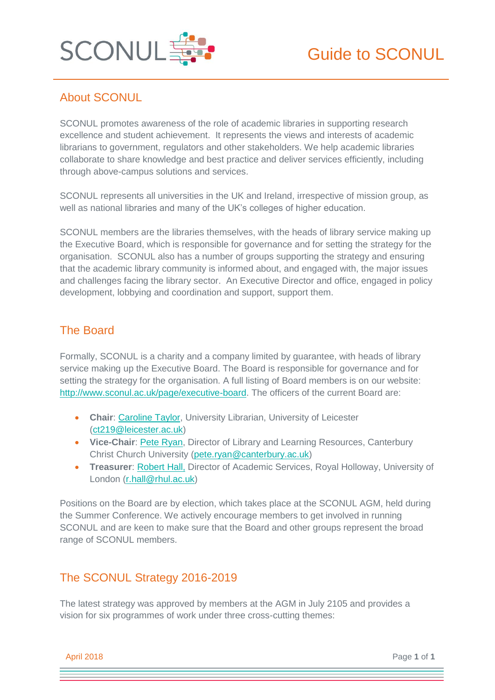

# About SCONUL

SCONUL promotes awareness of the role of academic libraries in supporting research excellence and student achievement. It represents the views and interests of academic librarians to government, regulators and other stakeholders. We help academic libraries collaborate to share knowledge and best practice and deliver services efficiently, including through above-campus solutions and services.

SCONUL represents all universities in the UK and Ireland, irrespective of mission group, as well as national libraries and many of the UK's colleges of higher education.

SCONUL members are the libraries themselves, with the heads of library service making up the Executive Board, which is responsible for governance and for setting the strategy for the organisation. SCONUL also has a number of groups supporting the strategy and ensuring that the academic library community is informed about, and engaged with, the major issues and challenges facing the library sector. An Executive Director and office, engaged in policy development, lobbying and coordination and support, support them.

## The Board

Formally, SCONUL is a charity and a company limited by guarantee, with heads of library service making up the Executive Board. The Board is responsible for governance and for setting the strategy for the organisation. A full listing of Board members is on our website: [http://www.sconul.ac.uk/page/executive-board.](http://www.sconul.ac.uk/page/executive-board) The officers of the current Board are:

- **Chair**: [Caroline Taylor,](https://www.sconul.ac.uk/page/caroline-taylor) University Librarian, University of Leicester [\(ct219@leicester.ac.uk\)](mailto:ct219@leicester.ac.uk)
- **Vice-Chair**: [Pete Ryan,](https://www.sconul.ac.uk/page/peter-ryan) Director of Library and Learning Resources, Canterbury Christ Church University [\(pete.ryan@canterbury.ac.uk\)](mailto:pete.ryan@canterbury.ac.uk)
- **Treasurer**: [Robert Hall,](http://www.sconul.ac.uk/page/robert-hall) Director of Academic Services, Royal Holloway, University of London [\(r.hall@rhul.ac.uk\)](mailto:r.hall@rhul.ac.uk)

Positions on the Board are by election, which takes place at the SCONUL AGM, held during the Summer Conference. We actively encourage members to get involved in running SCONUL and are keen to make sure that the Board and other groups represent the broad range of SCONUL members.

# The SCONUL Strategy 2016-2019

The latest strategy was approved by members at the AGM in July 2105 and provides a vision for six programmes of work under three cross-cutting themes:

April 2018 Page **1** of **1**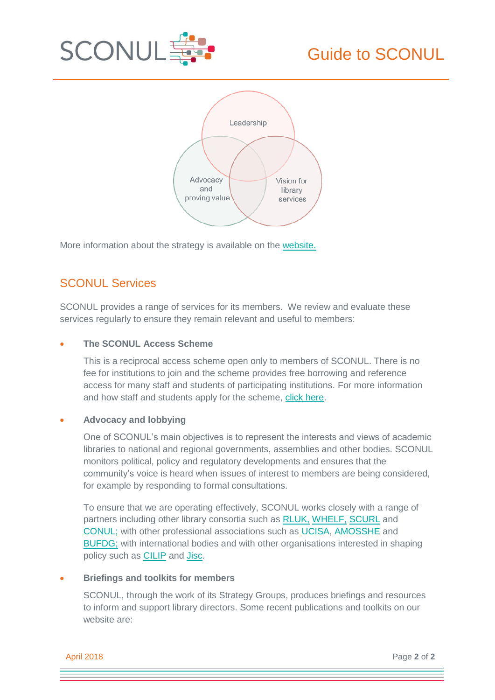



More information about the strategy is available on the [website.](http://www.sconul.ac.uk/sites/default/files/documents/Collaborating%20for%20Change%20-%20SCONUL%20strategy%202016-19_0.pdf)

# SCONUL Services

SCONUL provides a range of services for its members. We review and evaluate these services regularly to ensure they remain relevant and useful to members:

## **The SCONUL Access Scheme**

This is a reciprocal access scheme open only to members of SCONUL. There is no fee for institutions to join and the scheme provides free borrowing and reference access for many staff and students of participating institutions. For more information and how staff and students apply for the scheme, [click here.](http://www.sconul.ac.uk/sconul-access)

### **Advocacy and lobbying**

One of SCONUL's main objectives is to represent the interests and views of academic libraries to national and regional governments, assemblies and other bodies. SCONUL monitors political, policy and regulatory developments and ensures that the community's voice is heard when issues of interest to members are being considered, for example by responding to formal consultations.

To ensure that we are operating effectively, SCONUL works closely with a range of partners including other library consortia such as [RLUK,](http://www.rluk.ac.uk/) [WHELF,](http://whelf.ac.uk/) [SCURL](http://scurl.ac.uk/) and [CONUL;](http://www.conul.ie/) with other professional associations such as [UCISA,](https://www.ucisa.ac.uk/) [AMOSSHE](http://www.amosshe.org.uk/) and [BUFDG;](http://www.bufdg.ac.uk/) with international bodies and with other organisations interested in shaping policy such as **CILIP** and **Jisc.** 

### **Briefings and toolkits for members**

SCONUL, through the work of its Strategy Groups, produces briefings and resources to inform and support library directors. Some recent publications and toolkits on our website are:

April 2018 Page **2** of **2**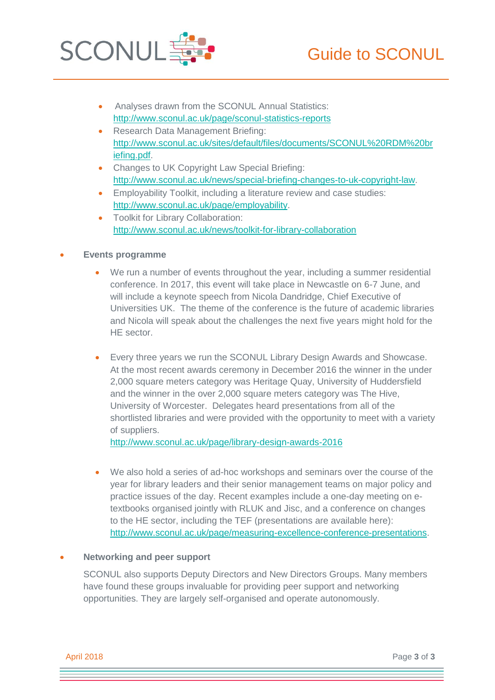

- Analyses drawn from the SCONUL Annual Statistics: http://www.sconul.ac.uk/page/sconul-statistics-reports
- Research Data Management Briefing: [http://www.sconul.ac.uk/sites/default/files/documents/SCONUL%20RDM%20br](http://www.sconul.ac.uk/sites/default/files/documents/SCONUL%20RDM%20briefing.pdf) [iefing.pdf.](http://www.sconul.ac.uk/sites/default/files/documents/SCONUL%20RDM%20briefing.pdf)
- Changes to UK Copyright Law Special Briefing: [http://www.sconul.ac.uk/news/special-briefing-changes-to-uk-copyright-law.](http://www.sconul.ac.uk/news/special-briefing-changes-to-uk-copyright-law)
- Employability Toolkit, including a literature review and case studies: [http://www.sconul.ac.uk/page/employability.](http://www.sconul.ac.uk/page/employability)
- Toolkit for Library Collaboration: <http://www.sconul.ac.uk/news/toolkit-for-library-collaboration>

## **Events programme**

- We run a number of events throughout the year, including a summer residential conference. In 2017, this event will take place in Newcastle on 6-7 June, and will include a keynote speech from Nicola Dandridge, Chief Executive of Universities UK. The theme of the conference is the future of academic libraries and Nicola will speak about the challenges the next five years might hold for the HE sector.
- Every three years we run the SCONUL Library Design Awards and Showcase. At the most recent awards ceremony in December 2016 the winner in the under 2,000 square meters category was Heritage Quay, University of Huddersfield and the winner in the over 2,000 square meters category was The Hive, University of Worcester. Delegates heard presentations from all of the shortlisted libraries and were provided with the opportunity to meet with a variety of suppliers.

<http://www.sconul.ac.uk/page/library-design-awards-2016>

 We also hold a series of ad-hoc workshops and seminars over the course of the year for library leaders and their senior management teams on major policy and practice issues of the day. Recent examples include a one-day meeting on etextbooks organised jointly with RLUK and Jisc, and a conference on changes to the HE sector, including the TEF (presentations are available here): [http://www.sconul.ac.uk/page/measuring-excellence-conference-presentations.](http://www.sconul.ac.uk/page/measuring-excellence-conference-presentations)

### **Networking and peer support**

SCONUL also supports Deputy Directors and New Directors Groups. Many members have found these groups invaluable for providing peer support and networking opportunities. They are largely self-organised and operate autonomously.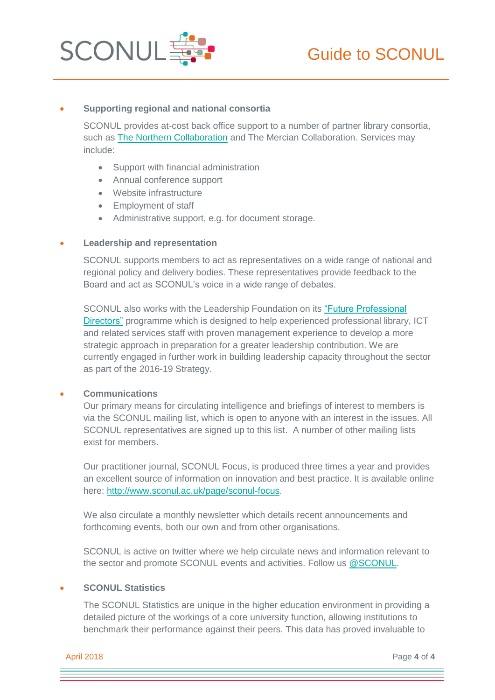

### **Supporting regional and national consortia**

SCONUL provides at-cost back office support to a number of partner library consortia, such as [The Northern Collaboration](http://www.northerncollaboration.org.uk/) and The Mercian Collaboration. Services may include:

- Support with financial administration
- Annual conference support
- Website infrastructure
- Employment of staff
- Administrative support, e.g. for document storage.

#### **Leadership and representation**

SCONUL supports members to act as representatives on a wide range of national and regional policy and delivery bodies. These representatives provide feedback to the Board and act as SCONUL's voice in a wide range of debates.

SCONUL also works with the Leadership Foundation on its ["Future Professional](https://www.lfhe.ac.uk/en/programmes-events/programmes/professional-partnerships/future-professional-directors/)  [Directors"](https://www.lfhe.ac.uk/en/programmes-events/programmes/professional-partnerships/future-professional-directors/) programme which is designed to help experienced professional library, ICT and related services staff with proven management experience to develop a more strategic approach in preparation for a greater leadership contribution. We are currently engaged in further work in building leadership capacity throughout the sector as part of the 2016-19 Strategy.

#### **Communications**

Our primary means for circulating intelligence and briefings of interest to members is via the SCONUL mailing list, which is open to anyone with an interest in the issues. All SCONUL representatives are signed up to this list. A number of other mailing lists exist for members.

Our practitioner journal, SCONUL Focus, is produced three times a year and provides an excellent source of information on innovation and best practice. It is available online here: [http://www.sconul.ac.uk/page/sconul-focus.](http://www.sconul.ac.uk/page/sconul-focus)

We also circulate a monthly newsletter which details recent announcements and forthcoming events, both our own and from other organisations.

SCONUL is active on twitter where we help circulate news and information relevant to the sector and promote SCONUL events and activities. Follow us [@SCONUL.](https://twitter.com/sconul?lang=en)

## **SCONUL Statistics**

The SCONUL Statistics are unique in the higher education environment in providing a detailed picture of the workings of a core university function, allowing institutions to benchmark their performance against their peers. This data has proved invaluable to

April 2018 Page **4** of **4**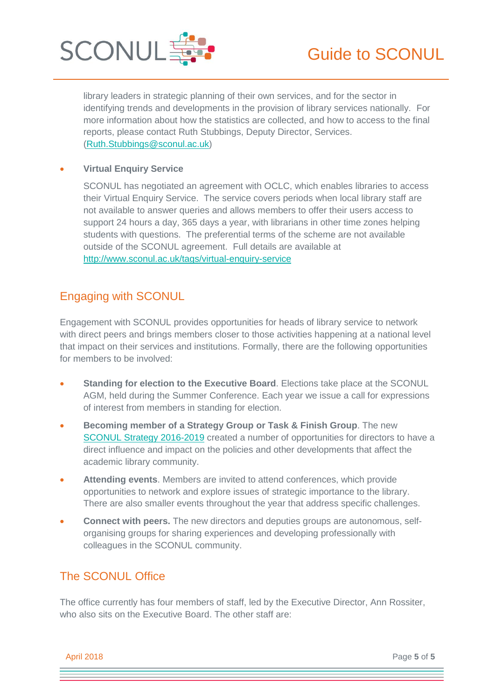

library leaders in strategic planning of their own services, and for the sector in identifying trends and developments in the provision of library services nationally. For more information about how the statistics are collected, and how to access to the final reports, please contact Ruth Stubbings, Deputy Director, Services. [\(Ruth.Stubbings@sconul.ac.uk\)](mailto:Ruth.Stubbings@sconul.ac.uk)

## **Virtual Enquiry Service**

SCONUL has negotiated an agreement with OCLC, which enables libraries to access their Virtual Enquiry Service. The service covers periods when local library staff are not available to answer queries and allows members to offer their users access to support 24 hours a day, 365 days a year, with librarians in other time zones helping students with questions. The preferential terms of the scheme are not available outside of the SCONUL agreement. Full details are available at <http://www.sconul.ac.uk/tags/virtual-enquiry-service>

# Engaging with SCONUL

Engagement with SCONUL provides opportunities for heads of library service to network with direct peers and brings members closer to those activities happening at a national level that impact on their services and institutions. Formally, there are the following opportunities for members to be involved:

- **Standing for election to the Executive Board**. Elections take place at the SCONUL AGM, held during the Summer Conference. Each year we issue a call for expressions of interest from members in standing for election.
- **Becoming member of a Strategy Group or Task & Finish Group**. The new [SCONUL Strategy 2016-2019](http://www.sconul.ac.uk/sites/default/files/documents/Collaborating%20for%20Change%20-%20SCONUL%20strategy%202016-19_0.pdf) created a number of opportunities for directors to have a direct influence and impact on the policies and other developments that affect the academic library community.
- **Attending events**. Members are invited to attend conferences, which provide opportunities to network and explore issues of strategic importance to the library. There are also smaller events throughout the year that address specific challenges.
- **Connect with peers.** The new directors and deputies groups are autonomous, selforganising groups for sharing experiences and developing professionally with colleagues in the SCONUL community.

# The SCONUL Office

The office currently has four members of staff, led by the Executive Director, Ann Rossiter, who also sits on the Executive Board. The other staff are:

April 2018 Page **5** of **5**